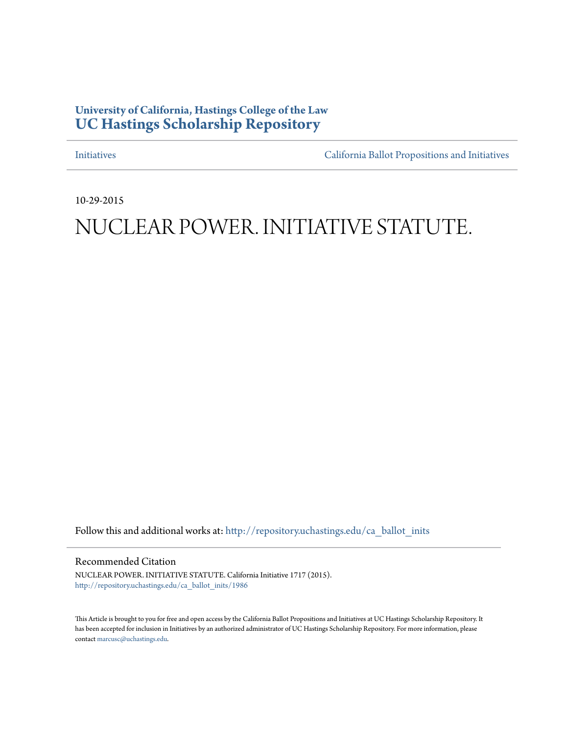## **University of California, Hastings College of the Law [UC Hastings Scholarship Repository](http://repository.uchastings.edu?utm_source=repository.uchastings.edu%2Fca_ballot_inits%2F1986&utm_medium=PDF&utm_campaign=PDFCoverPages)**

[Initiatives](http://repository.uchastings.edu/ca_ballot_inits?utm_source=repository.uchastings.edu%2Fca_ballot_inits%2F1986&utm_medium=PDF&utm_campaign=PDFCoverPages) [California Ballot Propositions and Initiatives](http://repository.uchastings.edu/ca_ballots?utm_source=repository.uchastings.edu%2Fca_ballot_inits%2F1986&utm_medium=PDF&utm_campaign=PDFCoverPages)

10-29-2015

## NUCLEAR POWER. INITIATIVE STATUTE.

Follow this and additional works at: [http://repository.uchastings.edu/ca\\_ballot\\_inits](http://repository.uchastings.edu/ca_ballot_inits?utm_source=repository.uchastings.edu%2Fca_ballot_inits%2F1986&utm_medium=PDF&utm_campaign=PDFCoverPages)

Recommended Citation

NUCLEAR POWER. INITIATIVE STATUTE. California Initiative 1717 (2015). [http://repository.uchastings.edu/ca\\_ballot\\_inits/1986](http://repository.uchastings.edu/ca_ballot_inits/1986?utm_source=repository.uchastings.edu%2Fca_ballot_inits%2F1986&utm_medium=PDF&utm_campaign=PDFCoverPages)

This Article is brought to you for free and open access by the California Ballot Propositions and Initiatives at UC Hastings Scholarship Repository. It has been accepted for inclusion in Initiatives by an authorized administrator of UC Hastings Scholarship Repository. For more information, please contact [marcusc@uchastings.edu](mailto:marcusc@uchastings.edu).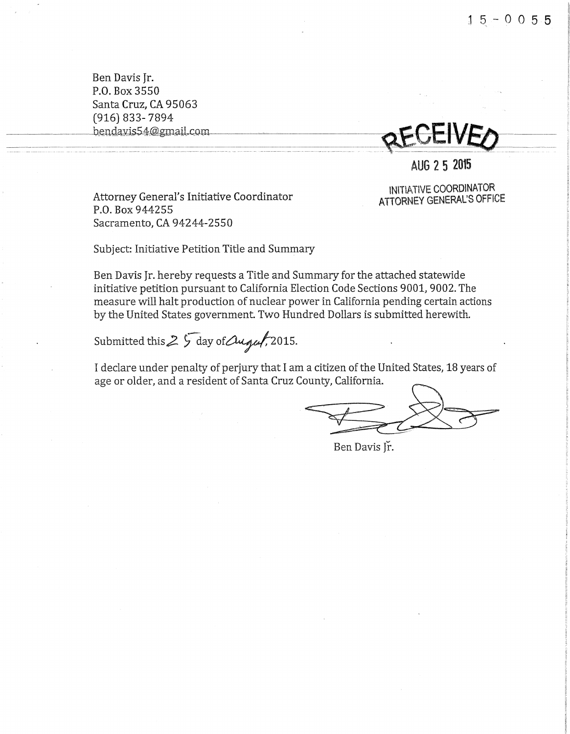Ben Davis Jr. P.O. Box 3550 Santa Cruz, CA 95063 (916} 833- 7894

we changed the contract of the contract of the contract of the contract of the contract of the contract of the contract of the contract of the contract of the contract of the contract of the contract of the contract of the

AUG 2 5 2015

Attorney General's Initiative Coordinator P.O. Box 944255 Sacramento, CA 94244-2550

INITIATIVE COORDINATOR ATTORNEY GENERAL'S OFFICE

Subject: Initiative Petition Title and Summary

Ben Davis Jr. hereby requests a Title and Summary for the attached statewide initiative petition pursuant to California Election Code Sections 9001, 9002. The measure vvill halt production of nuclear power in California pending certain actions by the United States government. Two Hundred Dollars is submitted herewith.

Submitted this  $2\sqrt{5}$  day of *Augul*, 2015.

I declare under penalty of perjury that I am a citizen of the United States, 18 years of age or older, and a resident of Santa Cruz County, California.

 $#27$ 

Ben Davis Jr.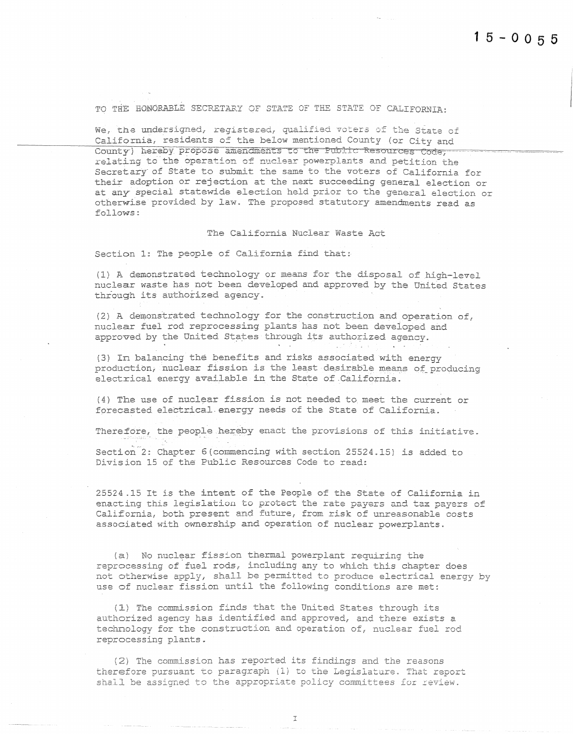TO THE HONORABLE SECRETARY OF STATE OF THE STATE OF CALIFORNIA:

We, the undersigned, registered, qualified voters of the State of California, residents of the below mentioned County (or City and County) hereby propose amendments to the Public Resources Code. relating to the operation of nuclear powerplants and petition the Secretary of State to submit the same to the voters of California for their adoption or rejection at the next succeeding general election or at any special statewide election held prior to the general election or otherwise provided by law. The proposed statutory amendments read as follows:

## The California Nuclear Waste Act

Section 1: The people of California find that:

(1) A demonstrated technology or means for the disposal of high-level nuclear waste has not been developed and approved by the United States through its authorized agency.

(2) A demonstrated technology for the construction and operation of, nuclear fuel rod reprocessing plants has not been developed and approved by the United States through its authorized agency.

(3) In balancing the benefits and risks associated with energy production, nuclear fission is the least desirable means of producing electrical energy available in the State of California.

(4) The use of nuclear fission is not needed to meet the current or forecasted electrical energy needs of the State of California.

Therefore, the people hereby enact the provisions of this initiative.

Section<sup>2</sup>: Chapter 6 (commencing with section 25524.15) is added to Division 15 of the Public Resources Code to read:

25524.15 It is the intent of the People of the State of California in enacting this legislation to protect the rate payers and tax payers of California, both present and future, from risk of unreasonable costs associated with ownership and operation of nuclear powerplants.

(a) No nuclear fission thermal powerplant requiring the reprocessing of fuel rods, including any to which this chapter does not otherwise apply, shall be permitted to produce electrical energy by use of nuclear fission until the following conditions are met:

(1) The commission finds that the United States through its authorized agency has identified and approved, and there exists a technology for the construction and operation of, nuclear fuel rod reprocessing plants.

(2) The commission has reported its findings and the reasons therefore pursuant to paragraph (1) to the Legislature. That report shall be assigned to the appropriate policy committees for review.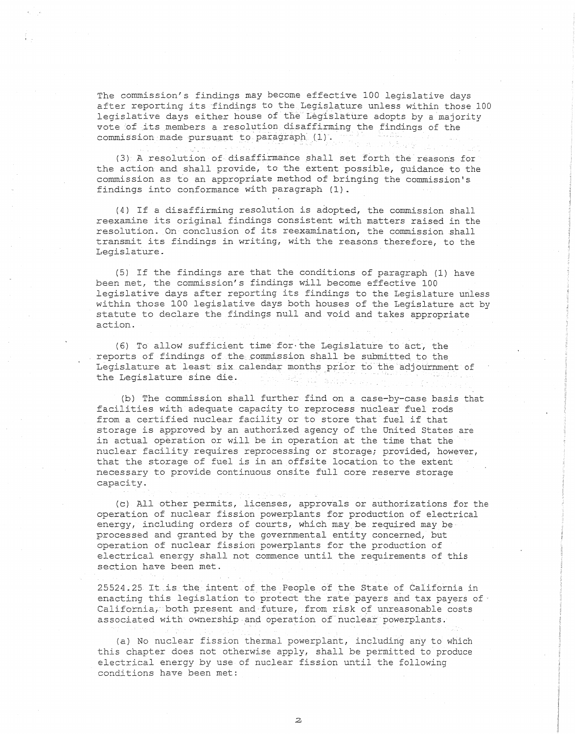The commission's findings may become effective 100 legislative days after reporting its findings to the Legislature unless within those 100 legislative days either house of the Legislature adopts by a majority vote of its members a resolution disaffirming the findings of the commission made pursuant to paragraph (1).

(3) A resolution of disaffirmance shall set forth the reasons for the action and shall provide, to the extent possible, guidance to the commission as to an appropriate method of bringing the commission's findings into conformance with paragraph (1).

(4) If a disaffirwing resolution is adopted, the commission shall reexamine its original findings consistent with matters raised in the resolution. On conclusion of its reexamination, the commission shall transmit its findings in writing, with the reasons therefore, to the Legislature.

(5) If the findings are that the conditions of paragraph (1) have been met, the commission's findings will become effective 100 legislative days after reporting its findings to the Legislature unless within those 100 legislative days both houses of the Legislature act by statute to declare the findings null and void and takes appropriate action.

(6) To allow sufficient time for·the Legislature to act, the reports of findings of the commission shall be submitted to the Legislature at least six calendar months prior to the adjournment of the Legislature sine die.

(b) The commission shall further find on a case-by-case basis that facilities with adequate capacity to reprocess nuclear fuel rods from a certified nuclear facility or to store that fuel if that storage is approved by an authorized agency of the United States are in actual operation or will be in operation at the time that the nuclear facility requires reprocessing or storage; provided, however, that the storage of fuel is in an offsite location to the extent necessary to provide continuous onsite full core reserve storage capacity.

(c) All other permits, licenses, approvals or authorizations for the operation of nuclear fission powerplants for production of electrical energy, including orders of courts, which may be required may be processed and granted by the governmental entity concerned, but operation of nuclear fission powerplants for the production of electrical energy shall not commence until the requirements of this section have been met.

25524.25 It is the intent of the People of the State of California in enacting this legislation to protect the rate payers and tax payers of California, both present and future, from risk of unreasonable costs associated with ownership and operation of nuclear powerplants.

(a) No nuclear fission thermal powerplant, including any to which this chapter does not otherwise apply, shall be permitted to produce electrical energy by use of nuclear fission until the following conditions have been met: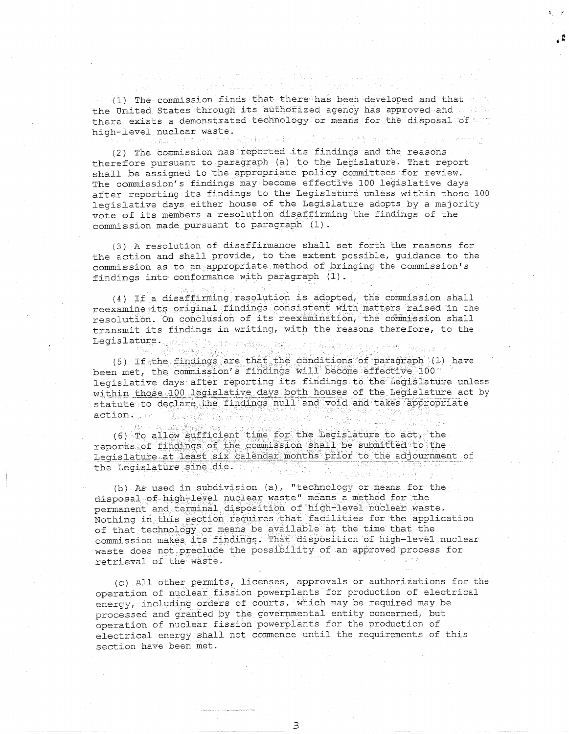(1) The commission finds that there has been developed and that the United States through its authorized agency has approved and and the there exists a demonstrated technology or means for the disposal of any high-level nuclear waste.

fakipisi alfa saldust sti zat namas (pai 5 de p

(2) The commission has reported its findings and the reasons therefore pursuant to paragraph (a) to the Legislature. That report shall be assigned to the appropriate policy committees for review. The commission's findings may become effective 100 legislative days after reporting its findings to the Legislature unless within those 100 legislative days either house of the Legislature adopts by a majority vote of its members a resolution disaffirming the findings of the commission made pursuant to paragraph (1).

(3) A resolution of disaffirmance shall set forth the reasons for the action and shall provide, to the extent possible, guidance to the commission as to an appropriate method of bringing the commission's findings into conformance with paragraph (1).

(4) If a disaffirming resolution is adopted, the commission shall reexamine its original findings consistent with matters raised in the resolution. On conclusion of its reexamination, the commission shall transmit its findings in writing, with the reasons therefore, to the Legislature. We have a state of

6) - Vigalland (5) If the findings are that the conditions of paragraph (1) have been met, the commission's findings will become effective 100 . legislative days after reporting its findings to the legislature unless within those 100 legislative days both houses of the Legislature act by statute to declare the findings null and void and takes appropriate action. in a Same All Charles

(6) To allow sufficient time for the Legislature to act, the reports of findings of the commission shall be submitted to the Legislature at least six calendar months prior to the adjournment of the Legislature sine die.

接続 人名

(b) As used in subdivision (a), "technology or means for the disposal of high-level nuclear waste" means a method for the permanent and terminal disposition of high-level nuclear waste. Nothing in this section requires that facilities for the application of that technology or means be available at the time that the commission makes its findings. That disposition of high-level nuclear waste does not preclude the possibility of an approved process for retrieval of the waste.

(c) All other permits, licenses, approvals or authorizations for the operation of nuclear fission powerplants for production of electrical energy, including orders of courts, which may be required may be processed and granted by the governmental entity concerned, but operation of nuclear fission powerplants for the production of electrical energy shall not commence until the requirements of this section have been met.

3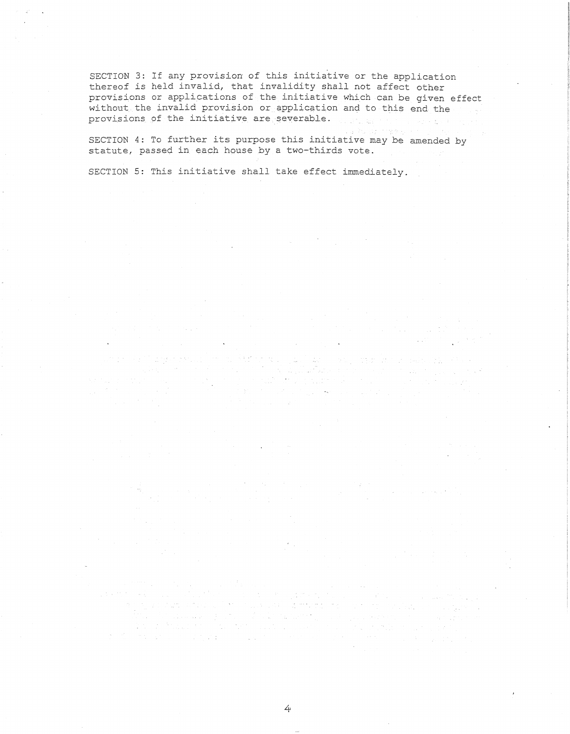SECTION 3: If any provision of this initiative or the application thereof is held invalid, that invalidity shall not affect other provisions or applications of the initiative which can be given effect without the invalid provision or application and to this end the provisions of the initiative are severable.

SECTION 4: To further its purpose this initiative may be amended by statute, passed in each house by a two-thirds vote.

 $\omega_{\rm{max}}$  ,  $\omega_{\rm{max}}$ 

SECTION 5: This initiative shall take effect immediately.

4